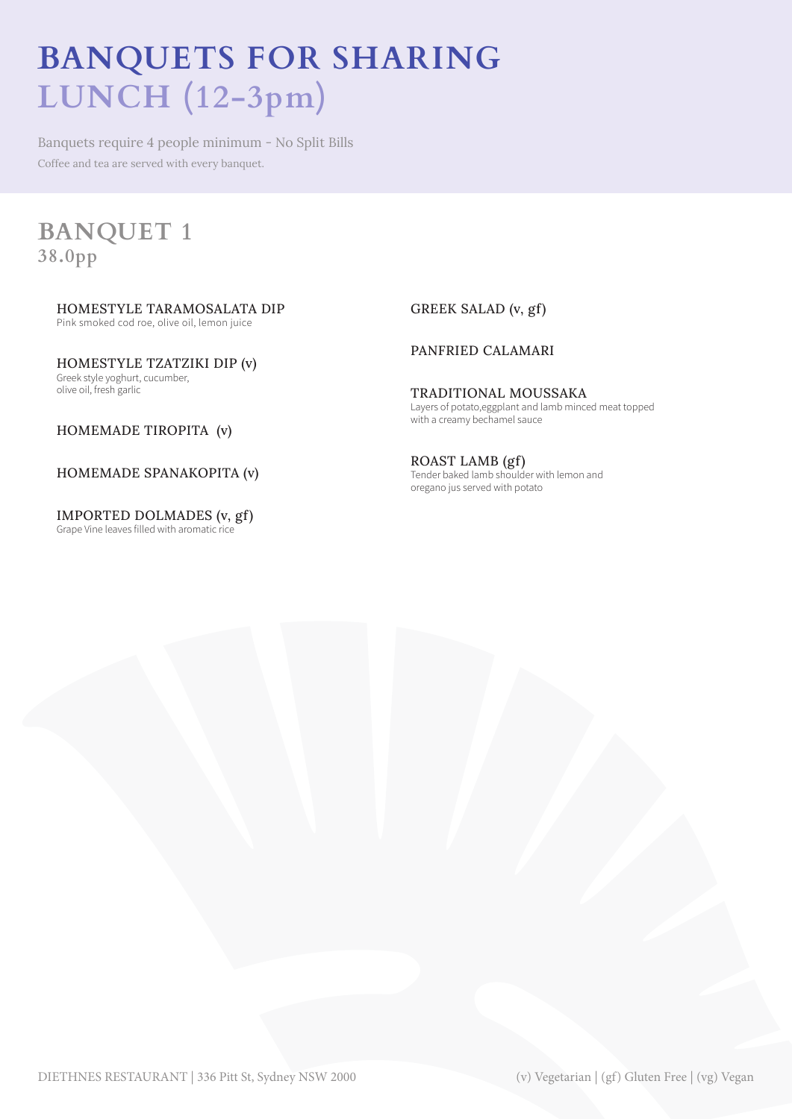# **BANQUETS FOR SHARING LUNCH (12-3pm)**

Banquets require 4 people minimum - No Split Bills Coffee and tea are served with every banquet.

## **BANQUET 1 38.0pp**

HOMESTYLE TARAMOSALATA DIP Pink smoked cod roe, olive oil, lemon juice

HOMESTYLE TZATZIKI DIP (v) Greek style yoghurt, cucumber, olive oil, fresh garlic

GREEK SALAD (v, gf)

## PANFRIED CALAMARI

TRADITIONAL MOUSSAKA Layers of potato,eggplant and lamb minced meat topped with a creamy bechamel sauce

HOMEMADE TIROPITA (v)

## HOMEMADE SPANAKOPITA (v)

IMPORTED DOLMADES (v, gf) Grape Vine leaves filled with aromatic rice

ROAST LAMB (gf) Tender baked lamb shoulder with lemon and oregano jus served with potato